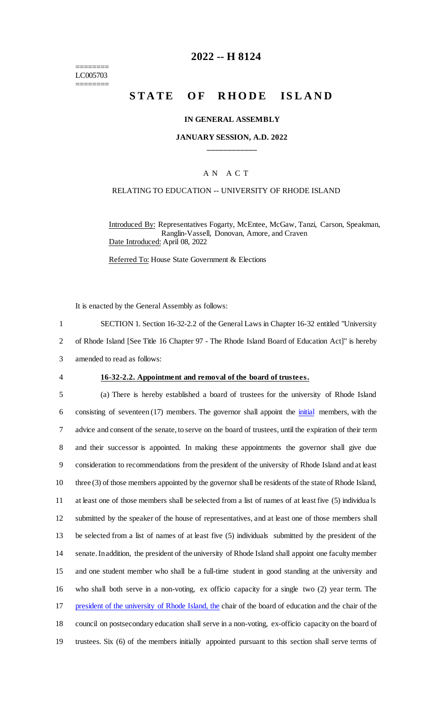======== LC005703 ========

# **2022 -- H 8124**

# **STATE OF RHODE ISLAND**

#### **IN GENERAL ASSEMBLY**

### **JANUARY SESSION, A.D. 2022 \_\_\_\_\_\_\_\_\_\_\_\_**

### A N A C T

#### RELATING TO EDUCATION -- UNIVERSITY OF RHODE ISLAND

Introduced By: Representatives Fogarty, McEntee, McGaw, Tanzi, Carson, Speakman, Ranglin-Vassell, Donovan, Amore, and Craven Date Introduced: April 08, 2022

Referred To: House State Government & Elections

It is enacted by the General Assembly as follows:

1 SECTION 1. Section 16-32-2.2 of the General Laws in Chapter 16-32 entitled "University 2 of Rhode Island [See Title 16 Chapter 97 - The Rhode Island Board of Education Act]" is hereby

3 amended to read as follows:

#### 4 **16-32-2.2. Appointment and removal of the board of trustees.**

 (a) There is hereby established a board of trustees for the university of Rhode Island 6 consisting of seventeen (17) members. The governor shall appoint the *initial* members, with the advice and consent of the senate, to serve on the board of trustees, until the expiration of their term and their successor is appointed. In making these appointments the governor shall give due consideration to recommendations from the president of the university of Rhode Island and at least three (3) of those members appointed by the governor shall be residents of the state of Rhode Island, at least one of those members shall be selected from a list of names of at least five (5) individua ls submitted by the speaker of the house of representatives, and at least one of those members shall be selected from a list of names of at least five (5) individuals submitted by the president of the senate. In addition, the president of the university of Rhode Island shall appoint one faculty member and one student member who shall be a full-time student in good standing at the university and who shall both serve in a non-voting, ex officio capacity for a single two (2) year term. The 17 president of the university of Rhode Island, the chair of the board of education and the chair of the council on postsecondary education shall serve in a non-voting, ex-officio capacity on the board of trustees. Six (6) of the members initially appointed pursuant to this section shall serve terms of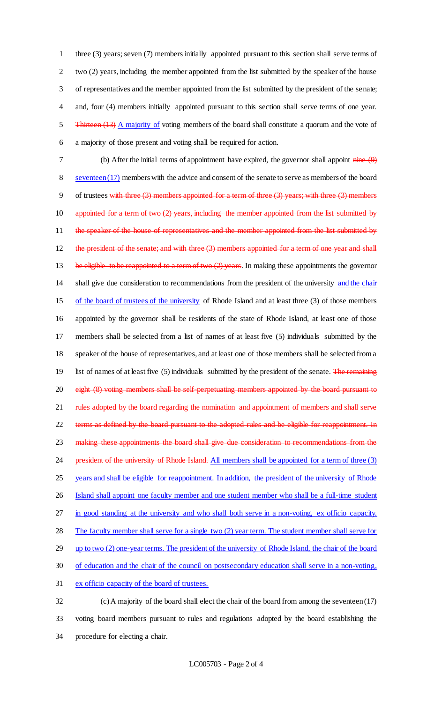three (3) years; seven (7) members initially appointed pursuant to this section shall serve terms of two (2) years, including the member appointed from the list submitted by the speaker of the house of representatives and the member appointed from the list submitted by the president of the senate; and, four (4) members initially appointed pursuant to this section shall serve terms of one year. 5 Thirteen (13) A majority of voting members of the board shall constitute a quorum and the vote of a majority of those present and voting shall be required for action.

7 (b) After the initial terms of appointment have expired, the governor shall appoint nine (9) 8 seventeen (17) members with the advice and consent of the senate to serve as members of the board 9 of trustees with three (3) members appointed for a term of three (3) years; with three (3) members 10 appointed for a term of two (2) years, including the member appointed from the list submitted by 11 the speaker of the house of representatives and the member appointed from the list submitted by 12 the president of the senate; and with three  $(3)$  members appointed for a term of one year and shall 13 be eligible to be reappointed to a term of two (2) years. In making these appointments the governor 14 shall give due consideration to recommendations from the president of the university and the chair 15 of the board of trustees of the university of Rhode Island and at least three (3) of those members 16 appointed by the governor shall be residents of the state of Rhode Island, at least one of those 17 members shall be selected from a list of names of at least five (5) individuals submitted by the 18 speaker of the house of representatives, and at least one of those members shall be selected from a 19 list of names of at least five (5) individuals submitted by the president of the senate. The remaining 20 eight (8) voting members shall be self-perpetuating members appointed by the board pursuant to 21 rules adopted by the board regarding the nomination and appointment of members and shall serve 22 terms as defined by the board pursuant to the adopted rules and be eligible for reappointment. In 23 making these appointments the board shall give due consideration to recommendations from the 24 president of the university of Rhode Island. All members shall be appointed for a term of three (3) 25 years and shall be eligible for reappointment. In addition, the president of the university of Rhode 26 Island shall appoint one faculty member and one student member who shall be a full-time student 27 in good standing at the university and who shall both serve in a non-voting, ex officio capacity. 28 The faculty member shall serve for a single two (2) year term. The student member shall serve for 29 up to two (2) one-year terms. The president of the university of Rhode Island, the chair of the board 30 of education and the chair of the council on postsecondary education shall serve in a non-voting, 31 ex officio capacity of the board of trustees.

32 (c) A majority of the board shall elect the chair of the board from among the seventeen (17) 33 voting board members pursuant to rules and regulations adopted by the board establishing the 34 procedure for electing a chair.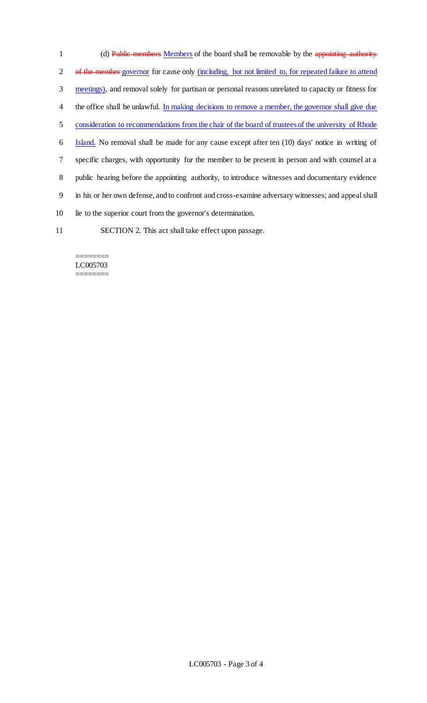1 (d) Public members Members of the board shall be removable by the appointing authority of the member governor for cause only (including, but not limited to, for repeated failure to attend meetings), and removal solely for partisan or personal reasons unrelated to capacity or fitness for 4 the office shall be unlawful. In making decisions to remove a member, the governor shall give due consideration to recommendations from the chair of the board of trustees of the university of Rhode Island. No removal shall be made for any cause except after ten (10) days' notice in writing of specific charges, with opportunity for the member to be present in person and with counsel at a public hearing before the appointing authority, to introduce witnesses and documentary evidence in his or her own defense, and to confront and cross-examine adversary witnesses; and appeal shall lie to the superior court from the governor's determination.

11 SECTION 2. This act shall take effect upon passage.

#### ======== LC005703 ========